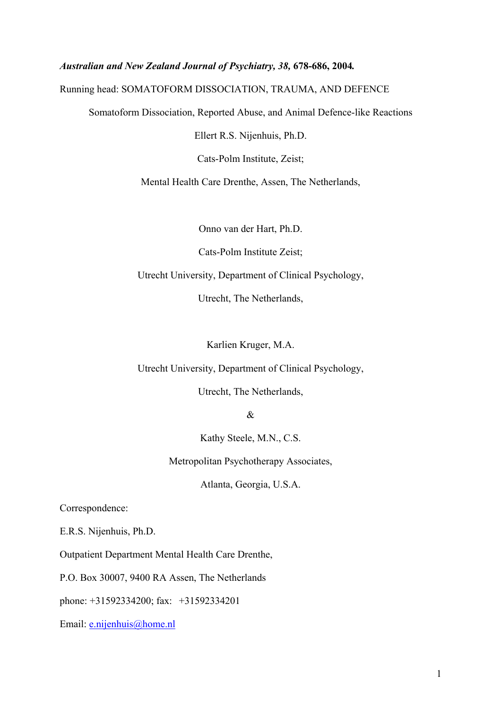## *Australian and New Zealand Journal of Psychiatry, 38,* **678-686, 2004***.*

## Running head: SOMATOFORM DISSOCIATION, TRAUMA, AND DEFENCE

Somatoform Dissociation, Reported Abuse, and Animal Defence-like Reactions

Ellert R.S. Nijenhuis, Ph.D.

Cats-Polm Institute, Zeist;

Mental Health Care Drenthe, Assen, The Netherlands,

Onno van der Hart, Ph.D.

Cats-Polm Institute Zeist;

Utrecht University, Department of Clinical Psychology,

Utrecht, The Netherlands,

Karlien Kruger, M.A.

Utrecht University, Department of Clinical Psychology,

Utrecht, The Netherlands,

&

Kathy Steele, M.N., C.S.

Metropolitan Psychotherapy Associates,

Atlanta, Georgia, U.S.A.

Correspondence:

E.R.S. Nijenhuis, Ph.D.

Outpatient Department Mental Health Care Drenthe,

P.O. Box 30007, 9400 RA Assen, The Netherlands

phone: +31592334200; fax: +31592334201

Email: [e.nijenhuis@home.nl](mailto:e.nijenhuis@wxs.nl)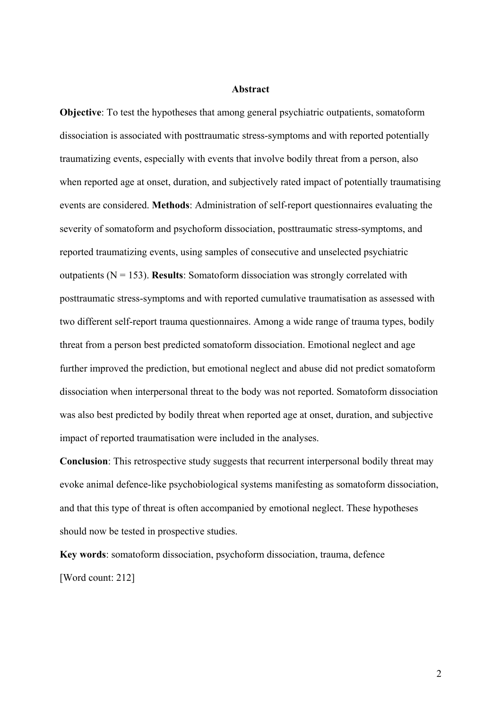#### **Abstract**

**Objective**: To test the hypotheses that among general psychiatric outpatients, somatoform dissociation is associated with posttraumatic stress-symptoms and with reported potentially traumatizing events, especially with events that involve bodily threat from a person, also when reported age at onset, duration, and subjectively rated impact of potentially traumatising events are considered. **Methods**: Administration of self-report questionnaires evaluating the severity of somatoform and psychoform dissociation, posttraumatic stress-symptoms, and reported traumatizing events, using samples of consecutive and unselected psychiatric outpatients (N = 153). **Results**: Somatoform dissociation was strongly correlated with posttraumatic stress-symptoms and with reported cumulative traumatisation as assessed with two different self-report trauma questionnaires. Among a wide range of trauma types, bodily threat from a person best predicted somatoform dissociation. Emotional neglect and age further improved the prediction, but emotional neglect and abuse did not predict somatoform dissociation when interpersonal threat to the body was not reported. Somatoform dissociation was also best predicted by bodily threat when reported age at onset, duration, and subjective impact of reported traumatisation were included in the analyses.

**Conclusion**: This retrospective study suggests that recurrent interpersonal bodily threat may evoke animal defence-like psychobiological systems manifesting as somatoform dissociation, and that this type of threat is often accompanied by emotional neglect. These hypotheses should now be tested in prospective studies.

**Key words**: somatoform dissociation, psychoform dissociation, trauma, defence [Word count: 212]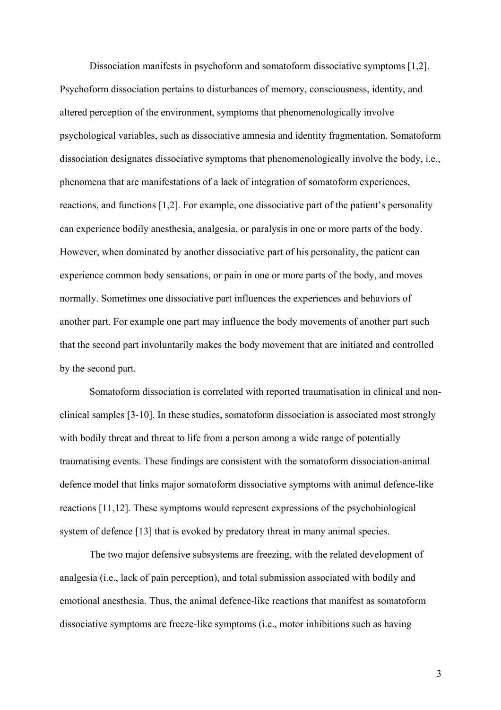Dissociation manifests in psychoform and somatoform dissociative symptoms [1,2]. Psychoform dissociation pertains to disturbances of memory, consciousness, identity, and altered perception of the environment, symptoms that phenomenologically involve psychological variables, such as dissociative amnesia and identity fragmentation. Somatoform dissociation designates dissociative symptoms that phenomenologically involve the body, i.e., phenomena that are manifestations of a lack of integration of somatoform experiences, reactions, and functions [1,2]. For example, one dissociative part of the patient's personality can experience bodily anesthesia, analgesia, or paralysis in one or more parts of the body. However, when dominated by another dissociative part of his personality, the patient can experience common body sensations, or pain in one or more parts of the body, and moves normally. Sometimes one dissociative part influences the experiences and behaviors of another part. For example one part may influence the body movements of another part such that the second part involuntarily makes the body movement that are initiated and controlled by the second part.

Somatoform dissociation is correlated with reported traumatisation in clinical and nonclinical samples [3-10]. In these studies, somatoform dissociation is associated most strongly with bodily threat and threat to life from a person among a wide range of potentially traumatising events. These findings are consistent with the somatoform dissociation-animal defence model that links major somatoform dissociative symptoms with animal defence-like reactions [11,12]. These symptoms would represent expressions of the psychobiological system of defence [13] that is evoked by predatory threat in many animal species.

The two major defensive subsystems are freezing, with the related development of analgesia (i.e., lack of pain perception), and total submission associated with bodily and emotional anesthesia. Thus, the animal defence-like reactions that manifest as somatoform dissociative symptoms are freeze-like symptoms (i.e., motor inhibitions such as having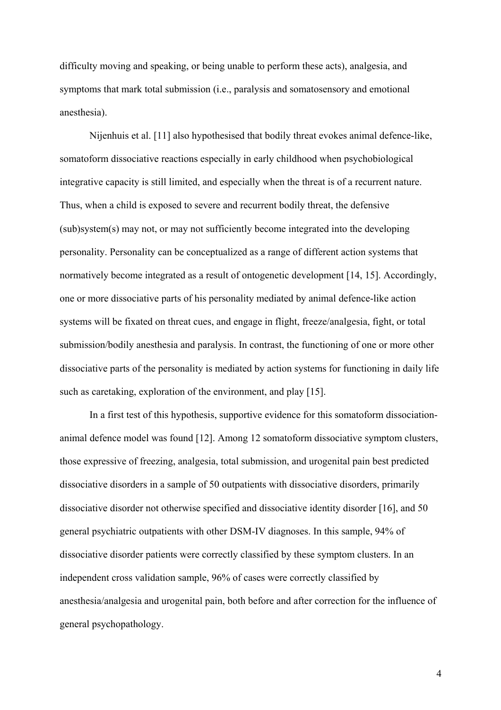difficulty moving and speaking, or being unable to perform these acts), analgesia, and symptoms that mark total submission (i.e., paralysis and somatosensory and emotional anesthesia).

Nijenhuis et al. [11] also hypothesised that bodily threat evokes animal defence-like, somatoform dissociative reactions especially in early childhood when psychobiological integrative capacity is still limited, and especially when the threat is of a recurrent nature. Thus, when a child is exposed to severe and recurrent bodily threat, the defensive (sub)system(s) may not, or may not sufficiently become integrated into the developing personality. Personality can be conceptualized as a range of different action systems that normatively become integrated as a result of ontogenetic development [14, 15]. Accordingly, one or more dissociative parts of his personality mediated by animal defence-like action systems will be fixated on threat cues, and engage in flight, freeze/analgesia, fight, or total submission/bodily anesthesia and paralysis. In contrast, the functioning of one or more other dissociative parts of the personality is mediated by action systems for functioning in daily life such as caretaking, exploration of the environment, and play [15].

In a first test of this hypothesis, supportive evidence for this somatoform dissociationanimal defence model was found [12]. Among 12 somatoform dissociative symptom clusters, those expressive of freezing, analgesia, total submission, and urogenital pain best predicted dissociative disorders in a sample of 50 outpatients with dissociative disorders, primarily dissociative disorder not otherwise specified and dissociative identity disorder [16], and 50 general psychiatric outpatients with other DSM-IV diagnoses. In this sample, 94% of dissociative disorder patients were correctly classified by these symptom clusters. In an independent cross validation sample, 96% of cases were correctly classified by anesthesia/analgesia and urogenital pain, both before and after correction for the influence of general psychopathology.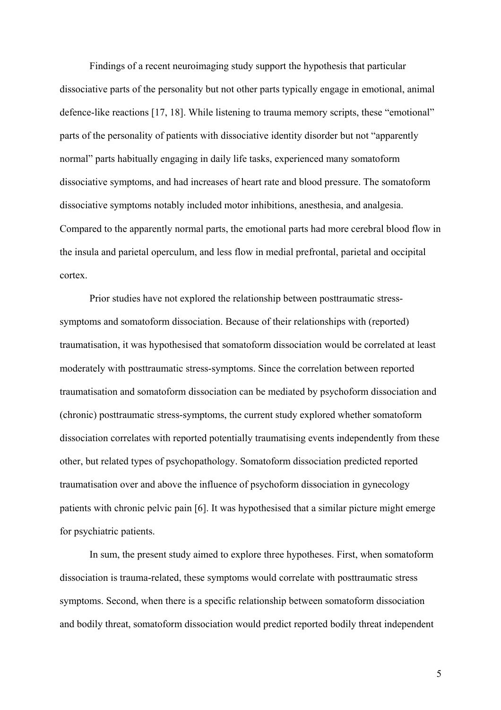Findings of a recent neuroimaging study support the hypothesis that particular dissociative parts of the personality but not other parts typically engage in emotional, animal defence-like reactions [17, 18]. While listening to trauma memory scripts, these "emotional" parts of the personality of patients with dissociative identity disorder but not "apparently normal" parts habitually engaging in daily life tasks, experienced many somatoform dissociative symptoms, and had increases of heart rate and blood pressure. The somatoform dissociative symptoms notably included motor inhibitions, anesthesia, and analgesia. Compared to the apparently normal parts, the emotional parts had more cerebral blood flow in the insula and parietal operculum, and less flow in medial prefrontal, parietal and occipital cortex.

Prior studies have not explored the relationship between posttraumatic stresssymptoms and somatoform dissociation. Because of their relationships with (reported) traumatisation, it was hypothesised that somatoform dissociation would be correlated at least moderately with posttraumatic stress-symptoms. Since the correlation between reported traumatisation and somatoform dissociation can be mediated by psychoform dissociation and (chronic) posttraumatic stress-symptoms, the current study explored whether somatoform dissociation correlates with reported potentially traumatising events independently from these other, but related types of psychopathology. Somatoform dissociation predicted reported traumatisation over and above the influence of psychoform dissociation in gynecology patients with chronic pelvic pain [6]. It was hypothesised that a similar picture might emerge for psychiatric patients.

In sum, the present study aimed to explore three hypotheses. First, when somatoform dissociation is trauma-related, these symptoms would correlate with posttraumatic stress symptoms. Second, when there is a specific relationship between somatoform dissociation and bodily threat, somatoform dissociation would predict reported bodily threat independent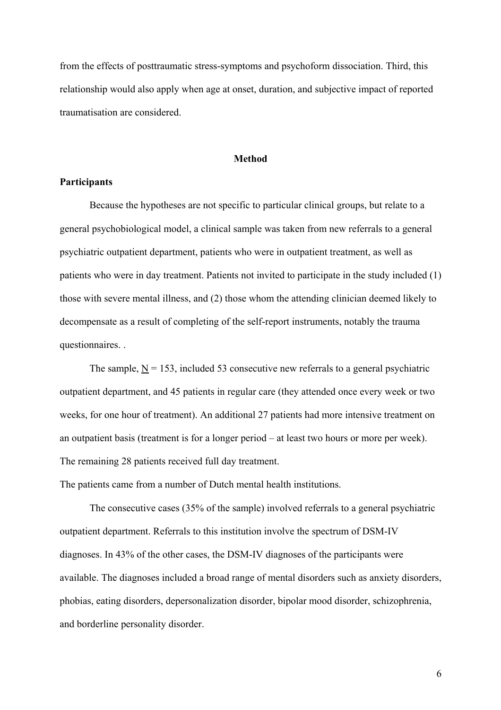from the effects of posttraumatic stress-symptoms and psychoform dissociation. Third, this relationship would also apply when age at onset, duration, and subjective impact of reported traumatisation are considered.

#### **Method**

#### **Participants**

Because the hypotheses are not specific to particular clinical groups, but relate to a general psychobiological model, a clinical sample was taken from new referrals to a general psychiatric outpatient department, patients who were in outpatient treatment, as well as patients who were in day treatment. Patients not invited to participate in the study included (1) those with severe mental illness, and (2) those whom the attending clinician deemed likely to decompensate as a result of completing of the self-report instruments, notably the trauma questionnaires. .

The sample,  $N = 153$ , included 53 consecutive new referrals to a general psychiatric outpatient department, and 45 patients in regular care (they attended once every week or two weeks, for one hour of treatment). An additional 27 patients had more intensive treatment on an outpatient basis (treatment is for a longer period – at least two hours or more per week). The remaining 28 patients received full day treatment.

The patients came from a number of Dutch mental health institutions.

The consecutive cases (35% of the sample) involved referrals to a general psychiatric outpatient department. Referrals to this institution involve the spectrum of DSM-IV diagnoses. In 43% of the other cases, the DSM-IV diagnoses of the participants were available. The diagnoses included a broad range of mental disorders such as anxiety disorders, phobias, eating disorders, depersonalization disorder, bipolar mood disorder, schizophrenia, and borderline personality disorder.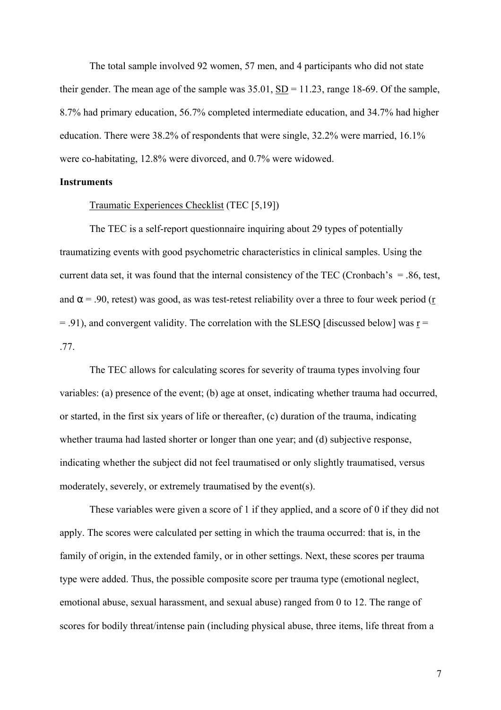The total sample involved 92 women, 57 men, and 4 participants who did not state their gender. The mean age of the sample was  $35.01$ ,  $SD = 11.23$ , range 18-69. Of the sample, 8.7% had primary education, 56.7% completed intermediate education, and 34.7% had higher education. There were 38.2% of respondents that were single, 32.2% were married, 16.1% were co-habitating, 12.8% were divorced, and 0.7% were widowed.

## **Instruments**

### Traumatic Experiences Checklist (TEC [5,19])

The TEC is a self-report questionnaire inquiring about 29 types of potentially traumatizing events with good psychometric characteristics in clinical samples. Using the current data set, it was found that the internal consistency of the TEC (Cronbach's  $= .86$ , test, and  $\alpha$  = .90, retest) was good, as was test-retest reliability over a three to four week period ( $\frac{r}{r}$ )  $= 0.91$ ), and convergent validity. The correlation with the SLESQ [discussed below] was r = .77.

The TEC allows for calculating scores for severity of trauma types involving four variables: (a) presence of the event; (b) age at onset, indicating whether trauma had occurred, or started, in the first six years of life or thereafter, (c) duration of the trauma, indicating whether trauma had lasted shorter or longer than one year; and (d) subjective response, indicating whether the subject did not feel traumatised or only slightly traumatised, versus moderately, severely, or extremely traumatised by the event(s).

These variables were given a score of 1 if they applied, and a score of 0 if they did not apply. The scores were calculated per setting in which the trauma occurred: that is, in the family of origin, in the extended family, or in other settings. Next, these scores per trauma type were added. Thus, the possible composite score per trauma type (emotional neglect, emotional abuse, sexual harassment, and sexual abuse) ranged from 0 to 12. The range of scores for bodily threat/intense pain (including physical abuse, three items, life threat from a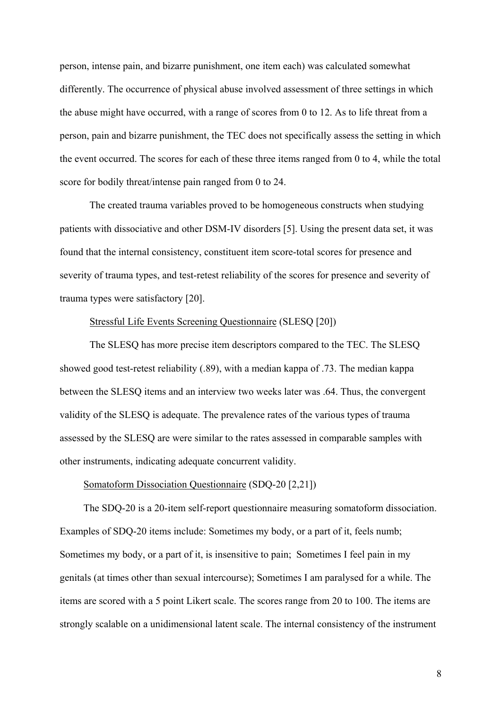person, intense pain, and bizarre punishment, one item each) was calculated somewhat differently. The occurrence of physical abuse involved assessment of three settings in which the abuse might have occurred, with a range of scores from 0 to 12. As to life threat from a person, pain and bizarre punishment, the TEC does not specifically assess the setting in which the event occurred. The scores for each of these three items ranged from 0 to 4, while the total score for bodily threat/intense pain ranged from 0 to 24.

The created trauma variables proved to be homogeneous constructs when studying patients with dissociative and other DSM-IV disorders [5]. Using the present data set, it was found that the internal consistency, constituent item score-total scores for presence and severity of trauma types, and test-retest reliability of the scores for presence and severity of trauma types were satisfactory [20].

#### Stressful Life Events Screening Questionnaire (SLESQ [20])

The SLESQ has more precise item descriptors compared to the TEC. The SLESQ showed good test-retest reliability (.89), with a median kappa of .73. The median kappa between the SLESQ items and an interview two weeks later was .64. Thus, the convergent validity of the SLESQ is adequate. The prevalence rates of the various types of trauma assessed by the SLESQ are were similar to the rates assessed in comparable samples with other instruments, indicating adequate concurrent validity.

## Somatoform Dissociation Questionnaire (SDQ-20 [2,21])

The SDQ-20 is a 20-item self-report questionnaire measuring somatoform dissociation. Examples of SDQ-20 items include: Sometimes my body, or a part of it, feels numb; Sometimes my body, or a part of it, is insensitive to pain; Sometimes I feel pain in my genitals (at times other than sexual intercourse); Sometimes I am paralysed for a while. The items are scored with a 5 point Likert scale. The scores range from 20 to 100. The items are strongly scalable on a unidimensional latent scale. The internal consistency of the instrument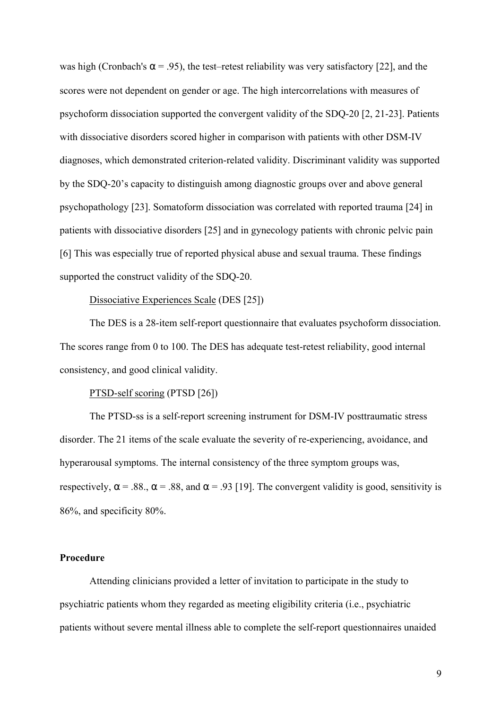was high (Cronbach's  $\alpha$  = .95), the test–retest reliability was very satisfactory [22], and the scores were not dependent on gender or age. The high intercorrelations with measures of psychoform dissociation supported the convergent validity of the SDQ-20 [2, 21-23]. Patients with dissociative disorders scored higher in comparison with patients with other DSM-IV diagnoses, which demonstrated criterion-related validity. Discriminant validity was supported by the SDQ-20's capacity to distinguish among diagnostic groups over and above general psychopathology [23]. Somatoform dissociation was correlated with reported trauma [24] in patients with dissociative disorders [25] and in gynecology patients with chronic pelvic pain [6] This was especially true of reported physical abuse and sexual trauma. These findings supported the construct validity of the SDQ-20.

#### Dissociative Experiences Scale (DES [25])

The DES is a 28-item self-report questionnaire that evaluates psychoform dissociation. The scores range from 0 to 100. The DES has adequate test-retest reliability, good internal consistency, and good clinical validity.

## PTSD-self scoring (PTSD [26])

The PTSD-ss is a self-report screening instrument for DSM-IV posttraumatic stress disorder. The 21 items of the scale evaluate the severity of re-experiencing, avoidance, and hyperarousal symptoms. The internal consistency of the three symptom groups was, respectively,  $\alpha$  = .88.,  $\alpha$  = .88, and  $\alpha$  = .93 [19]. The convergent validity is good, sensitivity is 86%, and specificity 80%.

#### **Procedure**

 Attending clinicians provided a letter of invitation to participate in the study to psychiatric patients whom they regarded as meeting eligibility criteria (i.e., psychiatric patients without severe mental illness able to complete the self-report questionnaires unaided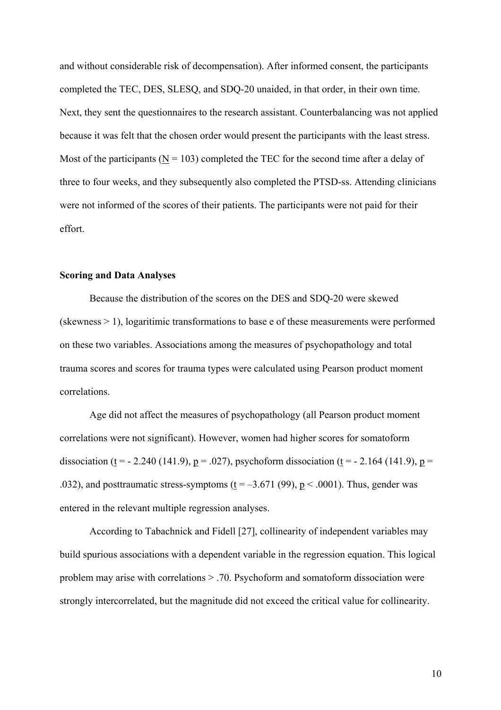and without considerable risk of decompensation). After informed consent, the participants completed the TEC, DES, SLESQ, and SDQ-20 unaided, in that order, in their own time. Next, they sent the questionnaires to the research assistant. Counterbalancing was not applied because it was felt that the chosen order would present the participants with the least stress. Most of the participants ( $N = 103$ ) completed the TEC for the second time after a delay of three to four weeks, and they subsequently also completed the PTSD-ss. Attending clinicians were not informed of the scores of their patients. The participants were not paid for their effort.

## **Scoring and Data Analyses**

Because the distribution of the scores on the DES and SDQ-20 were skewed (skewness > 1), logaritimic transformations to base e of these measurements were performed on these two variables. Associations among the measures of psychopathology and total trauma scores and scores for trauma types were calculated using Pearson product moment correlations.

Age did not affect the measures of psychopathology (all Pearson product moment correlations were not significant). However, women had higher scores for somatoform dissociation (t = - 2.240 (141.9), p = .027), psychoform dissociation (t = - 2.164 (141.9), p = .032), and posttraumatic stress-symptoms  $(t = -3.671(99)$ ,  $p < .0001$ ). Thus, gender was entered in the relevant multiple regression analyses.

According to Tabachnick and Fidell [27], collinearity of independent variables may build spurious associations with a dependent variable in the regression equation. This logical problem may arise with correlations > .70. Psychoform and somatoform dissociation were strongly intercorrelated, but the magnitude did not exceed the critical value for collinearity.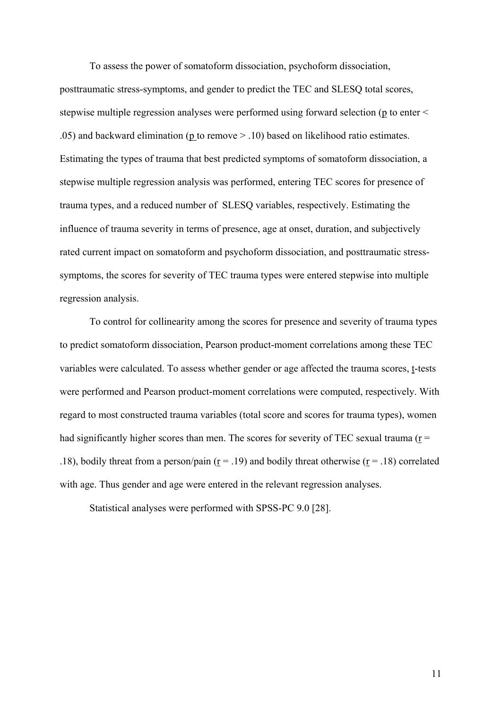To assess the power of somatoform dissociation, psychoform dissociation, posttraumatic stress-symptoms, and gender to predict the TEC and SLESQ total scores, stepwise multiple regression analyses were performed using forward selection (p to enter < .05) and backward elimination (p to remove > .10) based on likelihood ratio estimates. Estimating the types of trauma that best predicted symptoms of somatoform dissociation, a stepwise multiple regression analysis was performed, entering TEC scores for presence of trauma types, and a reduced number of SLESQ variables, respectively. Estimating the influence of trauma severity in terms of presence, age at onset, duration, and subjectively rated current impact on somatoform and psychoform dissociation, and posttraumatic stresssymptoms, the scores for severity of TEC trauma types were entered stepwise into multiple regression analysis.

To control for collinearity among the scores for presence and severity of trauma types to predict somatoform dissociation, Pearson product-moment correlations among these TEC variables were calculated. To assess whether gender or age affected the trauma scores, t-tests were performed and Pearson product-moment correlations were computed, respectively. With regard to most constructed trauma variables (total score and scores for trauma types), women had significantly higher scores than men. The scores for severity of TEC sexual trauma ( $r =$ .18), bodily threat from a person/pain ( $r = .19$ ) and bodily threat otherwise ( $r = .18$ ) correlated with age. Thus gender and age were entered in the relevant regression analyses.

Statistical analyses were performed with SPSS-PC 9.0 [28].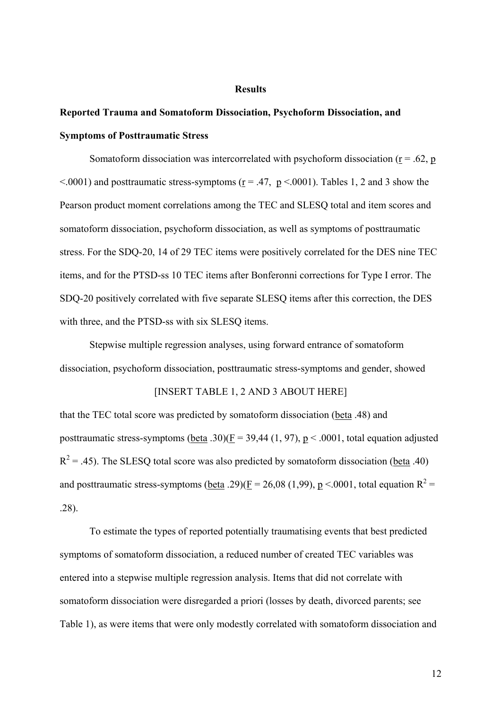#### **Results**

# **Reported Trauma and Somatoform Dissociation, Psychoform Dissociation, and Symptoms of Posttraumatic Stress**

Somatoform dissociation was intercorrelated with psychoform dissociation ( $r = .62$ , p  $\leq$  0001) and posttraumatic stress-symptoms (r = .47, p  $\leq$  0001). Tables 1, 2 and 3 show the Pearson product moment correlations among the TEC and SLESQ total and item scores and somatoform dissociation, psychoform dissociation, as well as symptoms of posttraumatic stress. For the SDQ-20, 14 of 29 TEC items were positively correlated for the DES nine TEC items, and for the PTSD-ss 10 TEC items after Bonferonni corrections for Type I error. The SDQ-20 positively correlated with five separate SLESQ items after this correction, the DES with three, and the PTSD-ss with six SLESQ items.

Stepwise multiple regression analyses, using forward entrance of somatoform dissociation, psychoform dissociation, posttraumatic stress-symptoms and gender, showed

### [INSERT TABLE 1, 2 AND 3 ABOUT HERE]

that the TEC total score was predicted by somatoform dissociation (beta .48) and posttraumatic stress-symptoms (beta .30)( $\underline{F}$  = 39,44 (1, 97),  $\underline{p}$  < .0001, total equation adjusted  $R<sup>2</sup> = .45$ ). The SLESQ total score was also predicted by somatoform dissociation (beta .40) and posttraumatic stress-symptoms (beta .29)( $\underline{F} = 26,08$  (1,99),  $\underline{p} < .0001$ , total equation  $R^2 =$ .28).

To estimate the types of reported potentially traumatising events that best predicted symptoms of somatoform dissociation, a reduced number of created TEC variables was entered into a stepwise multiple regression analysis. Items that did not correlate with somatoform dissociation were disregarded a priori (losses by death, divorced parents; see Table 1), as were items that were only modestly correlated with somatoform dissociation and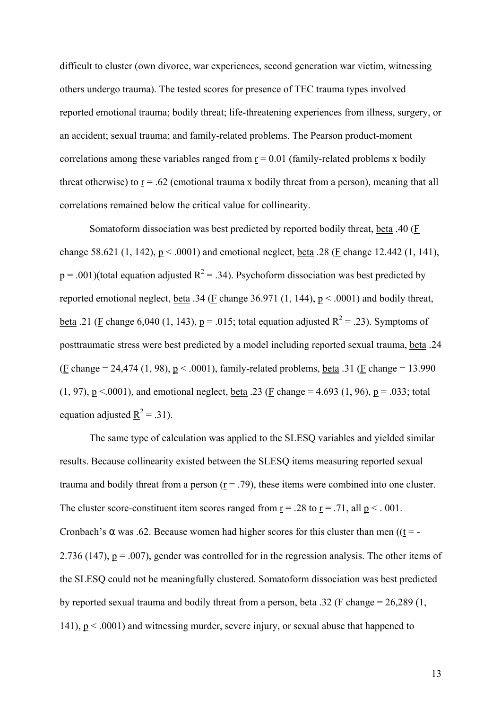difficult to cluster (own divorce, war experiences, second generation war victim, witnessing others undergo trauma). The tested scores for presence of TEC trauma types involved reported emotional trauma; bodily threat; life-threatening experiences from illness, surgery, or an accident; sexual trauma; and family-related problems. The Pearson product-moment correlations among these variables ranged from  $r = 0.01$  (family-related problems x bodily threat otherwise) to  $\underline{r} = .62$  (emotional trauma x bodily threat from a person), meaning that all correlations remained below the critical value for collinearity.

Somatoform dissociation was best predicted by reported bodily threat, beta .40 (F change 58.621 (1, 142),  $p < .0001$ ) and emotional neglect, beta .28 (F change 12.442 (1, 141),  $p = .001$ )(total equation adjusted  $R^2 = .34$ ). Psychoform dissociation was best predicted by reported emotional neglect, <u>beta</u> .34 ( $\underline{F}$  change 36.971 (1, 144),  $\underline{p}$  < .0001) and bodily threat, <u>beta</u> .21 (F change 6,040 (1, 143),  $p = 0.015$ ; total equation adjusted  $R^2 = 0.23$ ). Symptoms of posttraumatic stress were best predicted by a model including reported sexual trauma, beta .24 (F change = 24,474 (1, 98),  $p < .0001$ ), family-related problems, beta .31 (F change = 13.990) (1, 97),  $p \le 0.0001$ ), and emotional neglect, beta .23 (F change = 4.693 (1, 96),  $p = .033$ ; total equation adjusted  $\underline{R}^2 = .31$ ).

The same type of calculation was applied to the SLESQ variables and yielded similar results. Because collinearity existed between the SLESQ items measuring reported sexual trauma and bodily threat from a person  $(r = .79)$ , these items were combined into one cluster. The cluster score-constituent item scores ranged from  $r = .28$  to  $r = .71$ , all  $p < .001$ . Cronbach's  $\alpha$  was .62. Because women had higher scores for this cluster than men ((t = -2.736 (147),  $p = .007$ ), gender was controlled for in the regression analysis. The other items of the SLESQ could not be meaningfully clustered. Somatoform dissociation was best predicted by reported sexual trauma and bodily threat from a person, beta .32 (F change = 26,289 (1, 141),  $p < .0001$  and witnessing murder, severe injury, or sexual abuse that happened to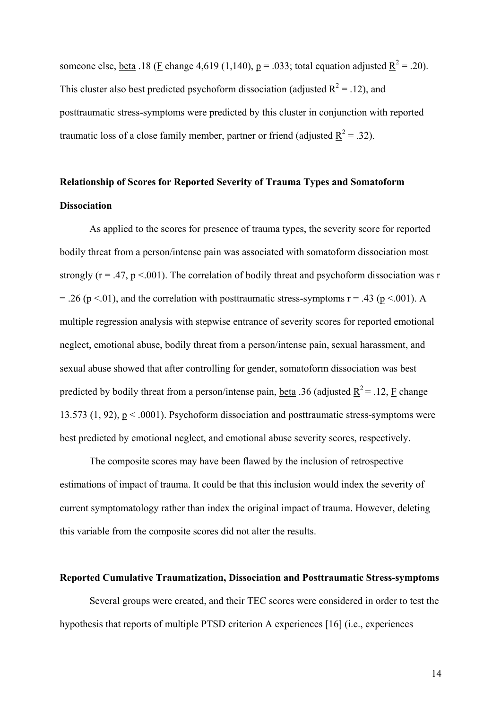someone else, <u>beta</u> .18 (**F** change 4,619 (1,140),  $p = .033$ ; total equation adjusted  $R^2 = .20$ ). This cluster also best predicted psychoform dissociation (adjusted  $\underline{R}^2 = .12$ ), and posttraumatic stress-symptoms were predicted by this cluster in conjunction with reported traumatic loss of a close family member, partner or friend (adjusted  $R^2 = .32$ ).

# **Relationship of Scores for Reported Severity of Trauma Types and Somatoform Dissociation**

As applied to the scores for presence of trauma types, the severity score for reported bodily threat from a person/intense pain was associated with somatoform dissociation most strongly ( $r = .47$ ,  $p < .001$ ). The correlation of bodily threat and psychoform dissociation was r = .26 (p <.01), and the correlation with posttraumatic stress-symptoms  $r = .43$  (p <.001). A multiple regression analysis with stepwise entrance of severity scores for reported emotional neglect, emotional abuse, bodily threat from a person/intense pain, sexual harassment, and sexual abuse showed that after controlling for gender, somatoform dissociation was best predicted by bodily threat from a person/intense pain, <u>beta</u> .36 (adjusted  $\underline{R}^2$  = .12,  $\underline{F}$  change 13.573 (1, 92),  $p < .0001$ ). Psychoform dissociation and posttraumatic stress-symptoms were best predicted by emotional neglect, and emotional abuse severity scores, respectively.

The composite scores may have been flawed by the inclusion of retrospective estimations of impact of trauma. It could be that this inclusion would index the severity of current symptomatology rather than index the original impact of trauma. However, deleting this variable from the composite scores did not alter the results.

## **Reported Cumulative Traumatization, Dissociation and Posttraumatic Stress-symptoms**

Several groups were created, and their TEC scores were considered in order to test the hypothesis that reports of multiple PTSD criterion A experiences [16] (i.e., experiences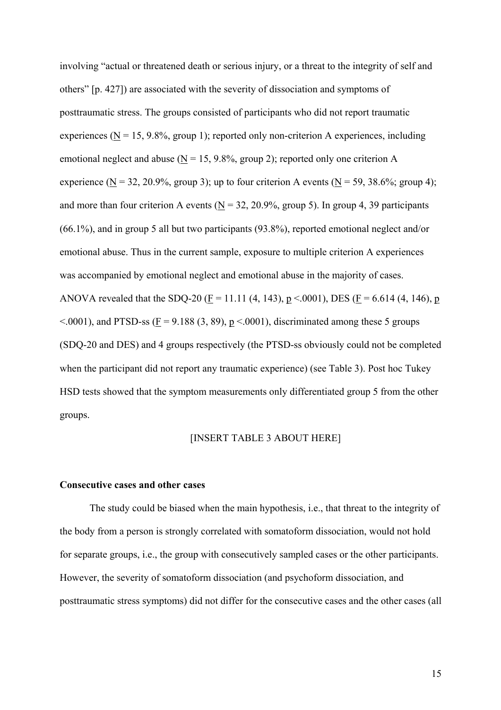involving "actual or threatened death or serious injury, or a threat to the integrity of self and others" [p. 427]) are associated with the severity of dissociation and symptoms of posttraumatic stress. The groups consisted of participants who did not report traumatic experiences ( $N = 15, 9.8\%$ , group 1); reported only non-criterion A experiences, including emotional neglect and abuse ( $\underline{N} = 15, 9.8\%$ , group 2); reported only one criterion A experience (N = 32, 20.9%, group 3); up to four criterion A events (N = 59, 38.6%; group 4); and more than four criterion A events ( $N = 32, 20.9\%$ , group 5). In group 4, 39 participants (66.1%), and in group 5 all but two participants (93.8%), reported emotional neglect and/or emotional abuse. Thus in the current sample, exposure to multiple criterion A experiences was accompanied by emotional neglect and emotional abuse in the majority of cases. ANOVA revealed that the SDQ-20 ( $\underline{F} = 11.11$  (4, 143),  $\underline{p} < .0001$ ), DES ( $\underline{F} = 6.614$  (4, 146),  $\underline{p}$  $\leq$  0001), and PTSD-ss (F = 9.188 (3, 89), p  $\leq$  0001), discriminated among these 5 groups (SDQ-20 and DES) and 4 groups respectively (the PTSD-ss obviously could not be completed when the participant did not report any traumatic experience) (see Table 3). Post hoc Tukey HSD tests showed that the symptom measurements only differentiated group 5 from the other groups.

## [INSERT TABLE 3 ABOUT HERE]

#### **Consecutive cases and other cases**

The study could be biased when the main hypothesis, i.e., that threat to the integrity of the body from a person is strongly correlated with somatoform dissociation, would not hold for separate groups, i.e., the group with consecutively sampled cases or the other participants. However, the severity of somatoform dissociation (and psychoform dissociation, and posttraumatic stress symptoms) did not differ for the consecutive cases and the other cases (all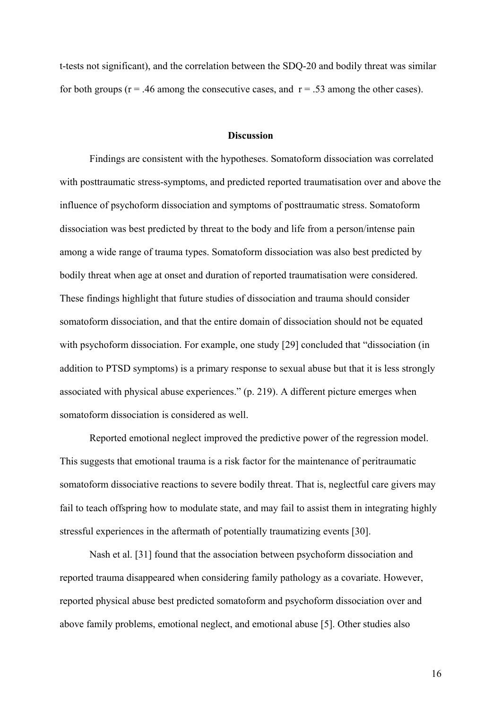t-tests not significant), and the correlation between the SDQ-20 and bodily threat was similar for both groups ( $r = .46$  among the consecutive cases, and  $r = .53$  among the other cases).

### **Discussion**

Findings are consistent with the hypotheses. Somatoform dissociation was correlated with posttraumatic stress-symptoms, and predicted reported traumatisation over and above the influence of psychoform dissociation and symptoms of posttraumatic stress. Somatoform dissociation was best predicted by threat to the body and life from a person/intense pain among a wide range of trauma types. Somatoform dissociation was also best predicted by bodily threat when age at onset and duration of reported traumatisation were considered. These findings highlight that future studies of dissociation and trauma should consider somatoform dissociation, and that the entire domain of dissociation should not be equated with psychoform dissociation. For example, one study [29] concluded that "dissociation (in addition to PTSD symptoms) is a primary response to sexual abuse but that it is less strongly associated with physical abuse experiences." (p. 219). A different picture emerges when somatoform dissociation is considered as well.

Reported emotional neglect improved the predictive power of the regression model. This suggests that emotional trauma is a risk factor for the maintenance of peritraumatic somatoform dissociative reactions to severe bodily threat. That is, neglectful care givers may fail to teach offspring how to modulate state, and may fail to assist them in integrating highly stressful experiences in the aftermath of potentially traumatizing events [30].

Nash et al. [31] found that the association between psychoform dissociation and reported trauma disappeared when considering family pathology as a covariate. However, reported physical abuse best predicted somatoform and psychoform dissociation over and above family problems, emotional neglect, and emotional abuse [5]. Other studies also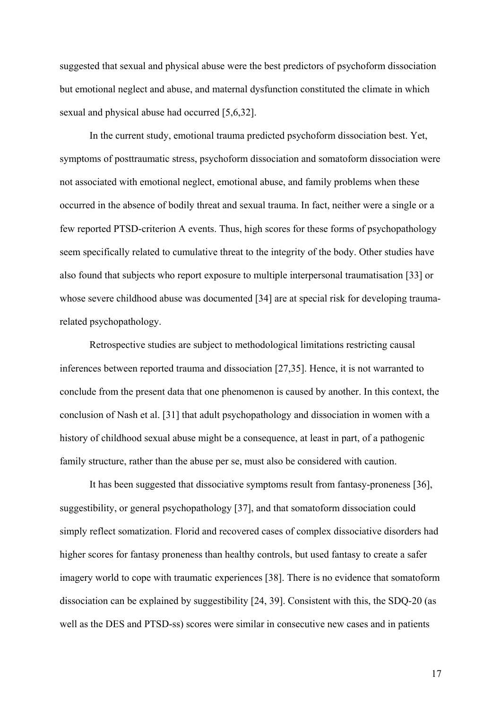suggested that sexual and physical abuse were the best predictors of psychoform dissociation but emotional neglect and abuse, and maternal dysfunction constituted the climate in which sexual and physical abuse had occurred [5,6,32].

In the current study, emotional trauma predicted psychoform dissociation best. Yet, symptoms of posttraumatic stress, psychoform dissociation and somatoform dissociation were not associated with emotional neglect, emotional abuse, and family problems when these occurred in the absence of bodily threat and sexual trauma. In fact, neither were a single or a few reported PTSD-criterion A events. Thus, high scores for these forms of psychopathology seem specifically related to cumulative threat to the integrity of the body. Other studies have also found that subjects who report exposure to multiple interpersonal traumatisation [33] or whose severe childhood abuse was documented [34] are at special risk for developing traumarelated psychopathology.

Retrospective studies are subject to methodological limitations restricting causal inferences between reported trauma and dissociation [27,35]. Hence, it is not warranted to conclude from the present data that one phenomenon is caused by another. In this context, the conclusion of Nash et al. [31] that adult psychopathology and dissociation in women with a history of childhood sexual abuse might be a consequence, at least in part, of a pathogenic family structure, rather than the abuse per se, must also be considered with caution.

It has been suggested that dissociative symptoms result from fantasy-proneness [36], suggestibility, or general psychopathology [37], and that somatoform dissociation could simply reflect somatization. Florid and recovered cases of complex dissociative disorders had higher scores for fantasy proneness than healthy controls, but used fantasy to create a safer imagery world to cope with traumatic experiences [38]. There is no evidence that somatoform dissociation can be explained by suggestibility [24, 39]. Consistent with this, the SDQ-20 (as well as the DES and PTSD-ss) scores were similar in consecutive new cases and in patients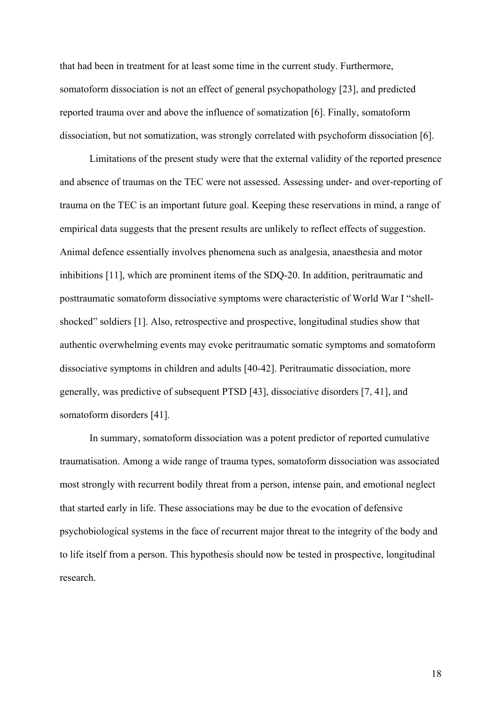that had been in treatment for at least some time in the current study. Furthermore, somatoform dissociation is not an effect of general psychopathology [23], and predicted reported trauma over and above the influence of somatization [6]. Finally, somatoform dissociation, but not somatization, was strongly correlated with psychoform dissociation [6].

Limitations of the present study were that the external validity of the reported presence and absence of traumas on the TEC were not assessed. Assessing under- and over-reporting of trauma on the TEC is an important future goal. Keeping these reservations in mind, a range of empirical data suggests that the present results are unlikely to reflect effects of suggestion. Animal defence essentially involves phenomena such as analgesia, anaesthesia and motor inhibitions [11], which are prominent items of the SDQ-20. In addition, peritraumatic and posttraumatic somatoform dissociative symptoms were characteristic of World War I "shellshocked" soldiers [1]. Also, retrospective and prospective, longitudinal studies show that authentic overwhelming events may evoke peritraumatic somatic symptoms and somatoform dissociative symptoms in children and adults [40-42]. Peritraumatic dissociation, more generally, was predictive of subsequent PTSD [43], dissociative disorders [7, 41], and somatoform disorders [41].

In summary, somatoform dissociation was a potent predictor of reported cumulative traumatisation. Among a wide range of trauma types, somatoform dissociation was associated most strongly with recurrent bodily threat from a person, intense pain, and emotional neglect that started early in life. These associations may be due to the evocation of defensive psychobiological systems in the face of recurrent major threat to the integrity of the body and to life itself from a person. This hypothesis should now be tested in prospective, longitudinal research.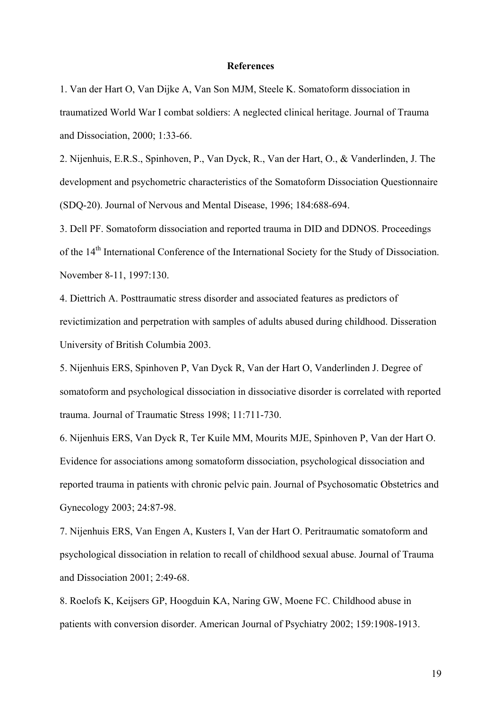#### **References**

1. Van der Hart O, Van Dijke A, Van Son MJM, Steele K. Somatoform dissociation in traumatized World War I combat soldiers: A neglected clinical heritage. Journal of Trauma and Dissociation, 2000; 1:33-66.

2. Nijenhuis, E.R.S., Spinhoven, P., Van Dyck, R., Van der Hart, O., & Vanderlinden, J. The development and psychometric characteristics of the Somatoform Dissociation Questionnaire (SDQ-20). Journal of Nervous and Mental Disease, 1996; 184:688-694.

3. Dell PF. Somatoform dissociation and reported trauma in DID and DDNOS. Proceedings of the 14th International Conference of the International Society for the Study of Dissociation. November 8-11, 1997:130.

4. Diettrich A. Posttraumatic stress disorder and associated features as predictors of revictimization and perpetration with samples of adults abused during childhood. Disseration University of British Columbia 2003.

5. Nijenhuis ERS, Spinhoven P, Van Dyck R, Van der Hart O, Vanderlinden J. Degree of somatoform and psychological dissociation in dissociative disorder is correlated with reported trauma. Journal of Traumatic Stress 1998; 11:711-730.

6. Nijenhuis ERS, Van Dyck R, Ter Kuile MM, Mourits MJE, Spinhoven P, Van der Hart O. Evidence for associations among somatoform dissociation, psychological dissociation and reported trauma in patients with chronic pelvic pain. Journal of Psychosomatic Obstetrics and Gynecology 2003; 24:87-98.

7. Nijenhuis ERS, Van Engen A, Kusters I, Van der Hart O. Peritraumatic somatoform and psychological dissociation in relation to recall of childhood sexual abuse. Journal of Trauma and Dissociation 2001; 2:49-68.

8. Roelofs K, Keijsers GP, Hoogduin KA, Naring GW, Moene FC. Childhood abuse in patients with conversion disorder. American Journal of Psychiatry 2002; 159:1908-1913.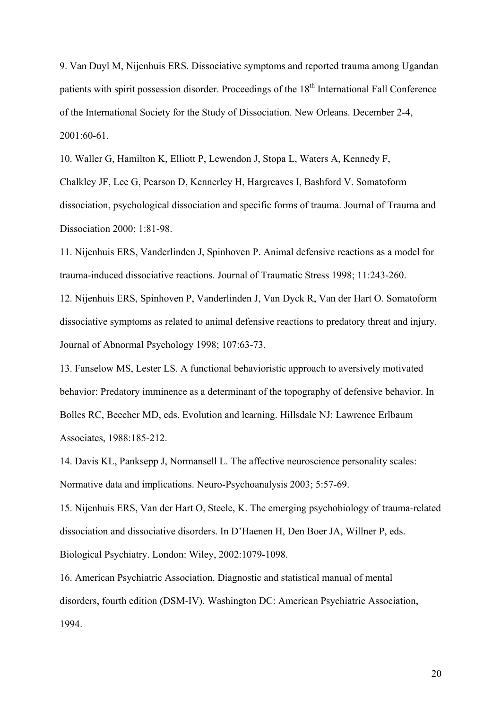9. Van Duyl M, Nijenhuis ERS. Dissociative symptoms and reported trauma among Ugandan patients with spirit possession disorder. Proceedings of the 18<sup>th</sup> International Fall Conference of the International Society for the Study of Dissociation. New Orleans. December 2-4, 2001:60-61.

10. Waller G, Hamilton K, Elliott P, Lewendon J, Stopa L, Waters A, Kennedy F, Chalkley JF, Lee G, Pearson D, Kennerley H, Hargreaves I, Bashford V. Somatoform

dissociation, psychological dissociation and specific forms of trauma. Journal of Trauma and Dissociation 2000; 1:81-98.

11. Nijenhuis ERS, Vanderlinden J, Spinhoven P. Animal defensive reactions as a model for trauma-induced dissociative reactions. Journal of Traumatic Stress 1998; 11:243-260.

12. Nijenhuis ERS, Spinhoven P, Vanderlinden J, Van Dyck R, Van der Hart O. Somatoform dissociative symptoms as related to animal defensive reactions to predatory threat and injury. Journal of Abnormal Psychology 1998; 107:63-73.

13. Fanselow MS, Lester LS. A functional behavioristic approach to aversively motivated behavior: Predatory imminence as a determinant of the topography of defensive behavior. In Bolles RC, Beecher MD, eds. Evolution and learning. Hillsdale NJ: Lawrence Erlbaum Associates, 1988:185-212.

14. Davis KL, Panksepp J, Normansell L. The affective neuroscience personality scales: Normative data and implications. Neuro-Psychoanalysis 2003; 5:57-69.

15. Nijenhuis ERS, Van der Hart O, Steele, K. The emerging psychobiology of trauma-related dissociation and dissociative disorders. In D'Haenen H, Den Boer JA, Willner P, eds. Biological Psychiatry. London: Wiley, 2002:1079-1098.

16. American Psychiatric Association. Diagnostic and statistical manual of mental disorders, fourth edition (DSM-IV). Washington DC: American Psychiatric Association, 1994.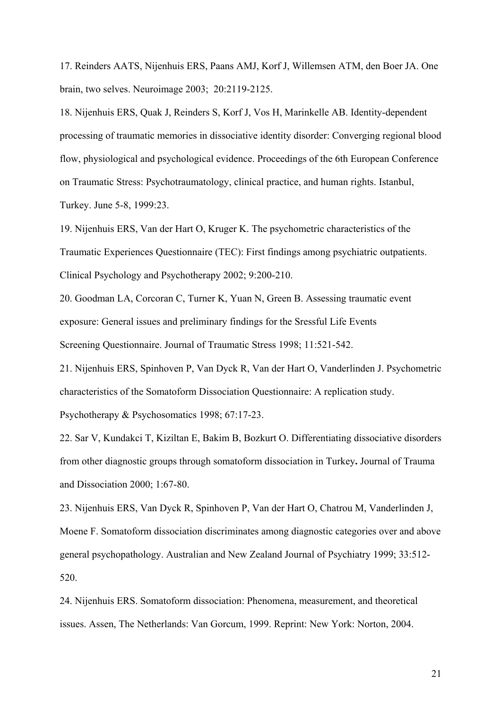17. Reinders AATS, Nijenhuis ERS, Paans AMJ, Korf J, Willemsen ATM, den Boer JA. One brain, two selves. Neuroimage 2003; 20:2119-2125.

18. Nijenhuis ERS, Quak J, Reinders S, Korf J, Vos H, Marinkelle AB. Identity-dependent processing of traumatic memories in dissociative identity disorder: Converging regional blood flow, physiological and psychological evidence. Proceedings of the 6th European Conference on Traumatic Stress: Psychotraumatology, clinical practice, and human rights. Istanbul, Turkey. June 5-8, 1999:23.

19. Nijenhuis ERS, Van der Hart O, Kruger K. The psychometric characteristics of the Traumatic Experiences Questionnaire (TEC): First findings among psychiatric outpatients. Clinical Psychology and Psychotherapy 2002; 9:200-210.

20. Goodman LA, Corcoran C, Turner K, Yuan N, Green B. Assessing traumatic event exposure: General issues and preliminary findings for the Sressful Life Events Screening Questionnaire. Journal of Traumatic Stress 1998; 11:521-542.

21. Nijenhuis ERS, Spinhoven P, Van Dyck R, Van der Hart O, Vanderlinden J. Psychometric characteristics of the Somatoform Dissociation Questionnaire: A replication study. Psychotherapy & Psychosomatics 1998; 67:17-23.

22. Sar V, Kundakci T, Kiziltan E, Bakim B, Bozkurt O. Differentiating dissociative disorders from other diagnostic groups through somatoform dissociation in Turkey**.** Journal of Trauma and Dissociation 2000; 1:67-80.

23. Nijenhuis ERS, Van Dyck R, Spinhoven P, Van der Hart O, Chatrou M, Vanderlinden J, Moene F. Somatoform dissociation discriminates among diagnostic categories over and above general psychopathology. Australian and New Zealand Journal of Psychiatry 1999; 33:512- 520.

24. Nijenhuis ERS. Somatoform dissociation: Phenomena, measurement, and theoretical issues. Assen, The Netherlands: Van Gorcum, 1999. Reprint: New York: Norton, 2004.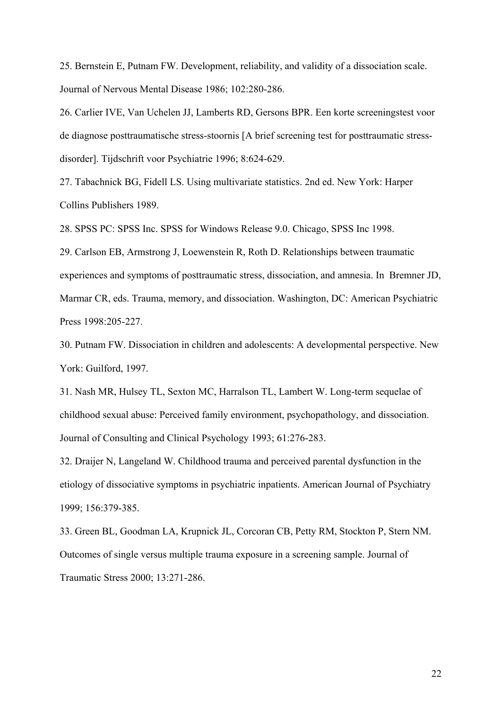25. Bernstein E, Putnam FW. Development, reliability, and validity of a dissociation scale. Journal of Nervous Mental Disease 1986; 102:280-286.

26. Carlier IVE, Van Uchelen JJ, Lamberts RD, Gersons BPR. Een korte screeningstest voor de diagnose posttraumatische stress-stoornis [A brief screening test for posttraumatic stressdisorder]. Tijdschrift voor Psychiatrie 1996; 8:624-629.

27. Tabachnick BG, Fidell LS. Using multivariate statistics. 2nd ed. New York: Harper Collins Publishers 1989.

28. SPSS PC: SPSS Inc. SPSS for Windows Release 9.0. Chicago, SPSS Inc 1998.

29. Carlson EB, Armstrong J, Loewenstein R, Roth D. Relationships between traumatic experiences and symptoms of posttraumatic stress, dissociation, and amnesia. In Bremner JD, Marmar CR, eds. Trauma, memory, and dissociation. Washington, DC: American Psychiatric Press 1998:205-227.

30. Putnam FW. Dissociation in children and adolescents: A developmental perspective. New York: Guilford, 1997.

31. Nash MR, Hulsey TL, Sexton MC, Harralson TL, Lambert W. Long-term sequelae of childhood sexual abuse: Perceived family environment, psychopathology, and dissociation. Journal of Consulting and Clinical Psychology 1993; 61:276-283.

32. Draijer N, Langeland W. Childhood trauma and perceived parental dysfunction in the etiology of dissociative symptoms in psychiatric inpatients. American Journal of Psychiatry 1999; 156:379-385.

33. Green BL, Goodman LA, Krupnick JL, Corcoran CB, Petty RM, Stockton P, Stern NM. Outcomes of single versus multiple trauma exposure in a screening sample. Journal of Traumatic Stress 2000; 13:271-286.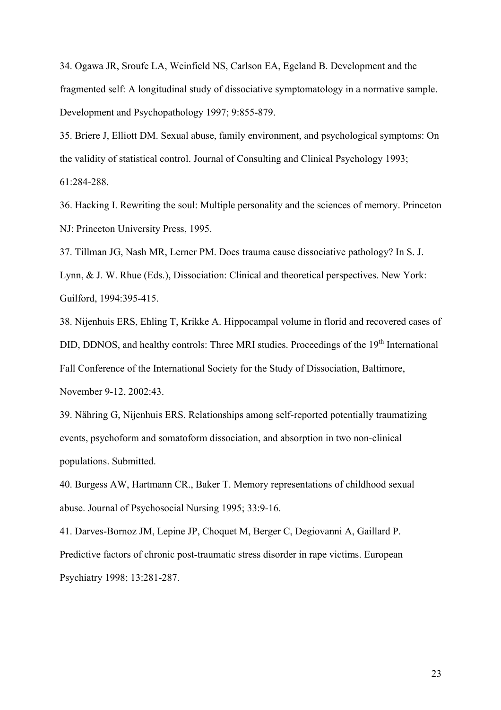34. Ogawa JR, Sroufe LA, Weinfield NS, Carlson EA, Egeland B. Development and the fragmented self: A longitudinal study of dissociative symptomatology in a normative sample. Development and Psychopathology 1997; 9:855-879.

35. Briere J, Elliott DM. Sexual abuse, family environment, and psychological symptoms: On the validity of statistical control. Journal of Consulting and Clinical Psychology 1993; 61:284-288.

36. Hacking I. Rewriting the soul: Multiple personality and the sciences of memory. Princeton NJ: Princeton University Press, 1995.

37. Tillman JG, Nash MR, Lerner PM. Does trauma cause dissociative pathology? In S. J.

Lynn, & J. W. Rhue (Eds.), Dissociation: Clinical and theoretical perspectives. New York: Guilford, 1994:395-415.

38. Nijenhuis ERS, Ehling T, Krikke A. Hippocampal volume in florid and recovered cases of DID, DDNOS, and healthy controls: Three MRI studies. Proceedings of the 19<sup>th</sup> International Fall Conference of the International Society for the Study of Dissociation, Baltimore, November 9-12, 2002:43.

39. Nähring G, Nijenhuis ERS. Relationships among self-reported potentially traumatizing events, psychoform and somatoform dissociation, and absorption in two non-clinical populations. Submitted.

40. Burgess AW, Hartmann CR., Baker T. Memory representations of childhood sexual abuse. Journal of Psychosocial Nursing 1995; 33:9-16.

41. Darves-Bornoz JM, Lepine JP, Choquet M, Berger C, Degiovanni A, Gaillard P. Predictive factors of chronic post-traumatic stress disorder in rape victims. European Psychiatry 1998; 13:281-287.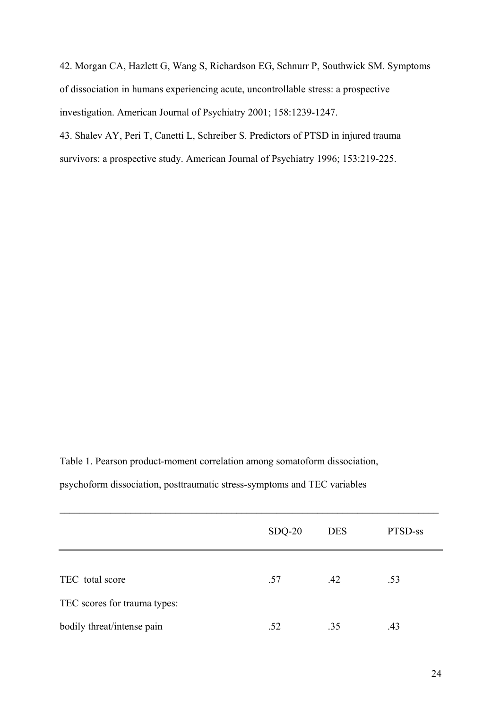42. Morgan CA, Hazlett G, Wang S, Richardson EG, Schnurr P, Southwick SM. Symptoms of dissociation in humans experiencing acute, uncontrollable stress: a prospective investigation. American Journal of Psychiatry 2001; 158:1239-1247.

43. Shalev AY, Peri T, Canetti L, Schreiber S. Predictors of PTSD in injured trauma survivors: a prospective study. American Journal of Psychiatry 1996; 153:219-225.

Table 1. Pearson product-moment correlation among somatoform dissociation, psychoform dissociation, posttraumatic stress-symptoms and TEC variables

|                              | $SDQ-20$ | <b>DES</b> | PTSD-ss |
|------------------------------|----------|------------|---------|
|                              |          |            |         |
| TEC total score              | .57      | .42        | .53     |
| TEC scores for trauma types: |          |            |         |
| bodily threat/intense pain   | .52      | .35        | .43     |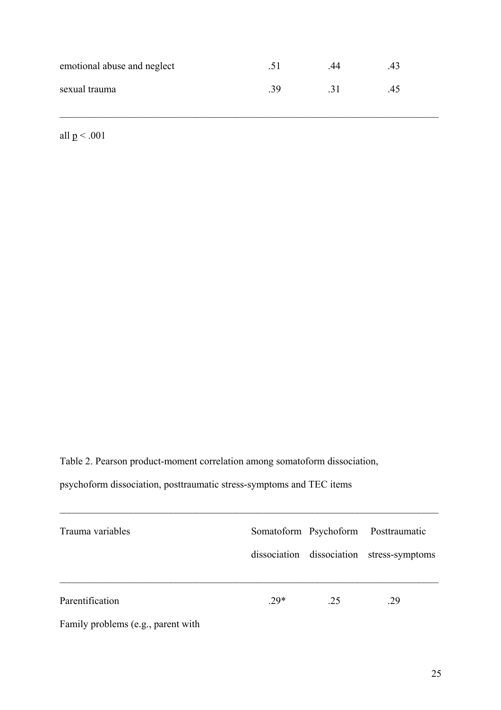| emotional abuse and neglect | $\mathcal{L}$ | 44  | 43 |
|-----------------------------|---------------|-----|----|
| sexual trauma               | 39            | -31 | 45 |

 $\mathcal{L}_\mathcal{L} = \{ \mathcal{L}_\mathcal{L} = \{ \mathcal{L}_\mathcal{L} = \{ \mathcal{L}_\mathcal{L} = \{ \mathcal{L}_\mathcal{L} = \{ \mathcal{L}_\mathcal{L} = \{ \mathcal{L}_\mathcal{L} = \{ \mathcal{L}_\mathcal{L} = \{ \mathcal{L}_\mathcal{L} = \{ \mathcal{L}_\mathcal{L} = \{ \mathcal{L}_\mathcal{L} = \{ \mathcal{L}_\mathcal{L} = \{ \mathcal{L}_\mathcal{L} = \{ \mathcal{L}_\mathcal{L} = \{ \mathcal{L}_\mathcal{$ 

all  $p < .001$ 

Table 2. Pearson product-moment correlation among somatoform dissociation,

psychoform dissociation, posttraumatic stress-symptoms and TEC items

| Trauma variables                   |        |    | Somatoform Psychoform Posttraumatic       |  |
|------------------------------------|--------|----|-------------------------------------------|--|
|                                    |        |    | dissociation dissociation stress-symptoms |  |
|                                    |        |    |                                           |  |
| Parentification                    | $.29*$ | 25 | .29                                       |  |
| Family problems (e.g., parent with |        |    |                                           |  |

 $\mathcal{L}_\mathcal{L} = \{ \mathcal{L}_\mathcal{L} = \{ \mathcal{L}_\mathcal{L} = \{ \mathcal{L}_\mathcal{L} = \{ \mathcal{L}_\mathcal{L} = \{ \mathcal{L}_\mathcal{L} = \{ \mathcal{L}_\mathcal{L} = \{ \mathcal{L}_\mathcal{L} = \{ \mathcal{L}_\mathcal{L} = \{ \mathcal{L}_\mathcal{L} = \{ \mathcal{L}_\mathcal{L} = \{ \mathcal{L}_\mathcal{L} = \{ \mathcal{L}_\mathcal{L} = \{ \mathcal{L}_\mathcal{L} = \{ \mathcal{L}_\mathcal{$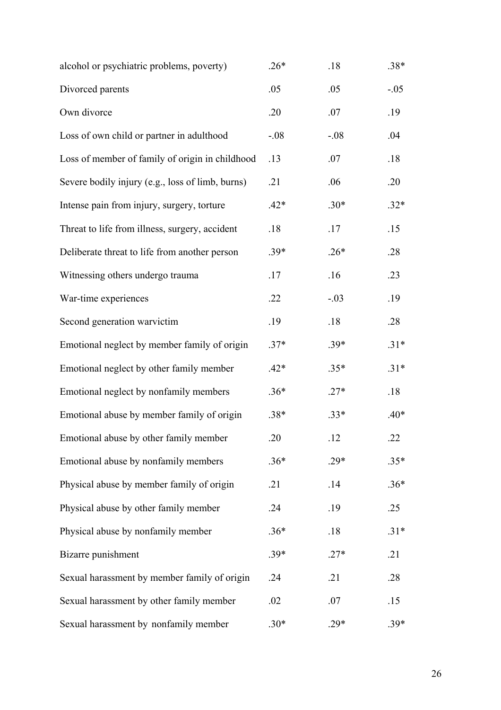| alcohol or psychiatric problems, poverty)        | $.26*$ | .18    | $.38*$ |
|--------------------------------------------------|--------|--------|--------|
| Divorced parents                                 | .05    | .05    | $-.05$ |
| Own divorce                                      | .20    | .07    | .19    |
| Loss of own child or partner in adulthood        | $-.08$ | $-.08$ | .04    |
| Loss of member of family of origin in childhood  | .13    | .07    | .18    |
| Severe bodily injury (e.g., loss of limb, burns) | .21    | .06    | .20    |
| Intense pain from injury, surgery, torture       | $.42*$ | $.30*$ | $.32*$ |
| Threat to life from illness, surgery, accident   | .18    | .17    | .15    |
| Deliberate threat to life from another person    | $.39*$ | $.26*$ | .28    |
| Witnessing others undergo trauma                 | .17    | .16    | .23    |
| War-time experiences                             | .22    | $-.03$ | .19    |
| Second generation warvictim                      | .19    | .18    | .28    |
| Emotional neglect by member family of origin     | $.37*$ | $.39*$ | $.31*$ |
| Emotional neglect by other family member         | $.42*$ | $.35*$ | $.31*$ |
| Emotional neglect by nonfamily members           | $.36*$ | $.27*$ | .18    |
| Emotional abuse by member family of origin       | $.38*$ | $.33*$ | $.40*$ |
| Emotional abuse by other family member           | .20    | .12    | .22    |
| Emotional abuse by nonfamily members             | $.36*$ | $.29*$ | $.35*$ |
| Physical abuse by member family of origin        | .21    | .14    | $.36*$ |
| Physical abuse by other family member            | .24    | .19    | .25    |
| Physical abuse by nonfamily member               | $.36*$ | .18    | $.31*$ |
| Bizarre punishment                               | $.39*$ | $.27*$ | .21    |
| Sexual harassment by member family of origin     | .24    | .21    | .28    |
| Sexual harassment by other family member         | .02    | .07    | .15    |
| Sexual harassment by nonfamily member            | $.30*$ | $.29*$ | $.39*$ |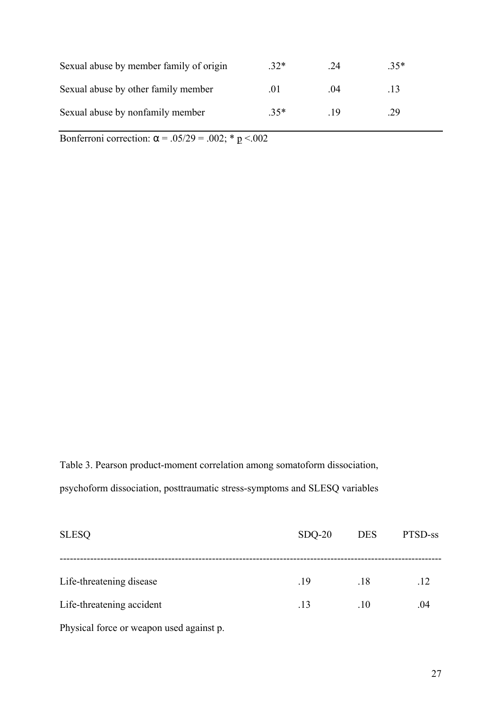| Sexual abuse by member family of origin | $32*$ | -24  | $35*$ |
|-----------------------------------------|-------|------|-------|
| Sexual abuse by other family member     | .O I  | (1)4 | 13    |
| Sexual abuse by nonfamily member        | $35*$ | - 19 | .29   |

Bonferroni correction:  $\alpha = .05/29 = .002$ ; \* p <.002

Table 3. Pearson product-moment correlation among somatoform dissociation, psychoform dissociation, posttraumatic stress-symptoms and SLESQ variables

| <b>SLESQ</b>              | $SDQ-20$ | <b>DES</b> | PTSD-ss |
|---------------------------|----------|------------|---------|
|                           |          |            |         |
| Life-threatening disease  | .19      | .18        | .12     |
| Life-threatening accident | .13      | .10        | .04     |
|                           |          |            |         |

Physical force or weapon used against p.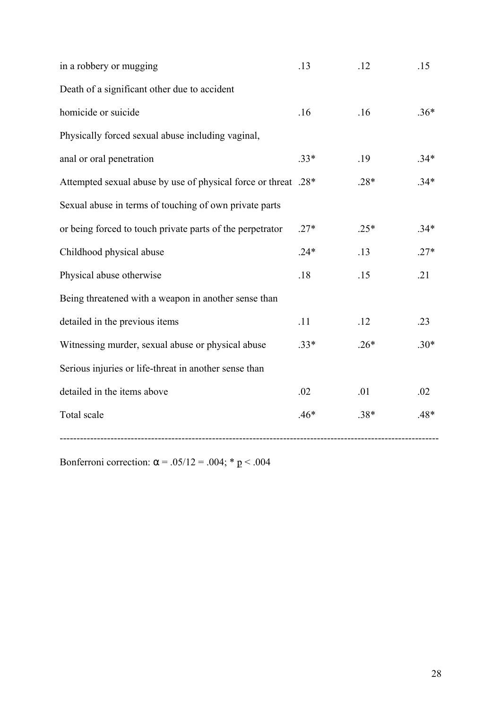| in a robbery or mugging                                        | .13    | .12    | .15    |
|----------------------------------------------------------------|--------|--------|--------|
| Death of a significant other due to accident                   |        |        |        |
| homicide or suicide                                            | .16    | .16    | $.36*$ |
| Physically forced sexual abuse including vaginal,              |        |        |        |
| anal or oral penetration                                       | $.33*$ | .19    | $.34*$ |
| Attempted sexual abuse by use of physical force or threat .28* |        | $.28*$ | $.34*$ |
| Sexual abuse in terms of touching of own private parts         |        |        |        |
| or being forced to touch private parts of the perpetrator      | $.27*$ | $.25*$ | $.34*$ |
| Childhood physical abuse                                       | $.24*$ | .13    | $.27*$ |
| Physical abuse otherwise                                       | $.18$  | .15    | .21    |
| Being threatened with a weapon in another sense than           |        |        |        |
| detailed in the previous items                                 | .11    | .12    | .23    |
| Witnessing murder, sexual abuse or physical abuse              | $.33*$ | $.26*$ | $.30*$ |
| Serious injuries or life-threat in another sense than          |        |        |        |
| detailed in the items above                                    | .02    | .01    | .02    |
| Total scale                                                    | $.46*$ | $.38*$ | .48*   |
|                                                                |        |        |        |

Bonferroni correction:  $\alpha$  = .05/12 = .004; \* p < .004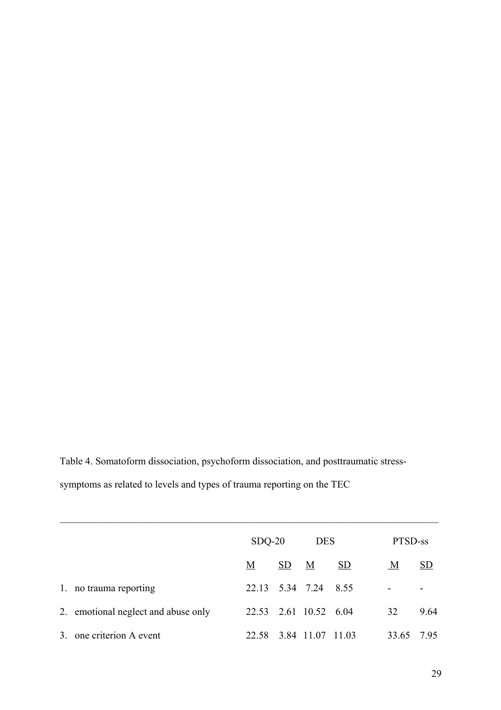Table 4. Somatoform dissociation, psychoform dissociation, and posttraumatic stresssymptoms as related to levels and types of trauma reporting on the TEC

|    |                                     | $SDQ-20$        |    | <b>DES</b>            |      | PTSD-ss                  |                           |
|----|-------------------------------------|-----------------|----|-----------------------|------|--------------------------|---------------------------|
|    |                                     | $\underline{M}$ | SD | <u>M</u>              | SD   | $\underline{\mathbf{M}}$ | $\underline{\mathrm{SD}}$ |
|    | 1. no trauma reporting              | 22.13 5.34 7.24 |    |                       | 8.55 | $\overline{a}$           |                           |
|    | 2. emotional neglect and abuse only |                 |    | 22.53 2.61 10.52 6.04 |      | 32                       | 9.64                      |
| 3. | one criterion A event               | 22.58           |    | 3.84 11.07 11.03      |      | 33.65                    | 7.95                      |